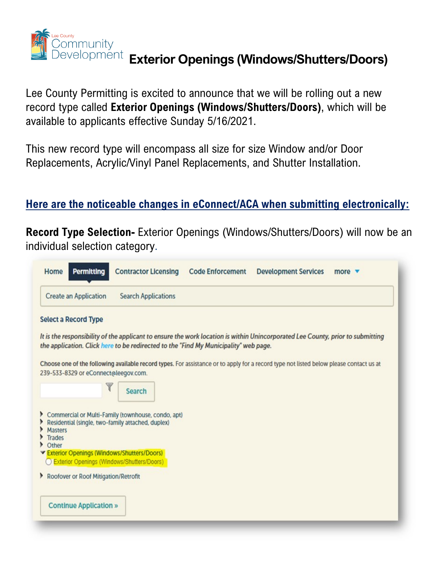

### **Exterior Openings (Windows/Shutters/Doors)**<br>|evelopment|| Exterior Openings (Windows/Shutters/Doors)

Lee County Permitting is excited to announce that we will be rolling out a new record type called **Exterior Openings (Windows/Shutters/Doors)**, which will be available to applicants effective Sunday 5/16/2021.

This new record type will encompass all size for size Window and/or Door Replacements, Acrylic/Vinyl Panel Replacements, and Shutter Installation.

#### **Here are the noticeable changes in eConnect/ACA when submitting electronically:**

**Record Type Selection-** Exterior Openings (Windows/Shutters/Doors) will now be an individual selection category.

| <b>Create an Application</b>                        | <b>Search Applications</b>                                                           |                                                                                                                                        |  |
|-----------------------------------------------------|--------------------------------------------------------------------------------------|----------------------------------------------------------------------------------------------------------------------------------------|--|
| <b>Select a Record Type</b>                         |                                                                                      |                                                                                                                                        |  |
|                                                     |                                                                                      | It is the responsibility of the applicant to ensure the work location is within Unincorporated Lee County, prior to submitting         |  |
|                                                     | the application. Click here to be redirected to the "Find My Municipality" web page. |                                                                                                                                        |  |
|                                                     |                                                                                      | Choose one of the following available record types. For assistance or to apply for a record type not listed below please contact us at |  |
| 239-533-8329 or eConnect@leegov.com.                |                                                                                      |                                                                                                                                        |  |
|                                                     | <b>Search</b>                                                                        |                                                                                                                                        |  |
|                                                     |                                                                                      |                                                                                                                                        |  |
| Residential (single, two-family attached, duplex)   | Commercial or Multi-Family (townhouse, condo, apt)                                   |                                                                                                                                        |  |
| <b>Masters</b><br>Trades                            |                                                                                      |                                                                                                                                        |  |
| Other<br>Exterior Openings (Windows/Shutters/Doors) |                                                                                      |                                                                                                                                        |  |
| O Exterior Openings (Windows/Shutters/Doors)        |                                                                                      |                                                                                                                                        |  |
| Roofover or Roof Mitigation/Retrofit                |                                                                                      |                                                                                                                                        |  |
|                                                     |                                                                                      |                                                                                                                                        |  |
| <b>Continue Application »</b>                       |                                                                                      |                                                                                                                                        |  |
|                                                     |                                                                                      |                                                                                                                                        |  |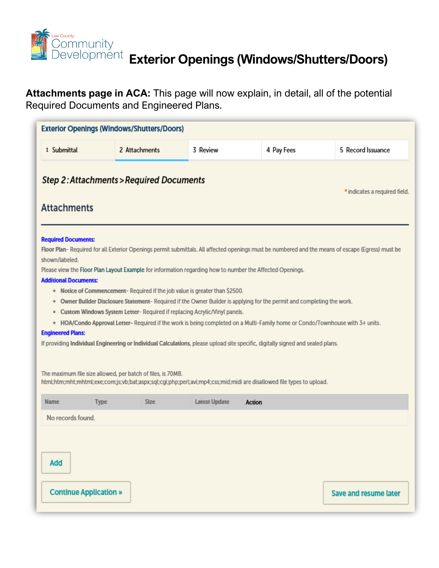

## **Exterior Openings (Windows/Shutters/Doors)**<br>Development Exterior Openings (Windows/Shutters/Doors)

**Attachments page in ACA:** This page will now explain, in detail, all of the potential Required Documents and Engineered Plans.

| <b>Exterior Openings (Windows/Shutters/Doors)</b>                                                                  |               |             |                                                                                                                                                                                                                                                                    |                                                                                                                                                                                                                                                                                                                                                                                          |                                                                                                                                                  |
|--------------------------------------------------------------------------------------------------------------------|---------------|-------------|--------------------------------------------------------------------------------------------------------------------------------------------------------------------------------------------------------------------------------------------------------------------|------------------------------------------------------------------------------------------------------------------------------------------------------------------------------------------------------------------------------------------------------------------------------------------------------------------------------------------------------------------------------------------|--------------------------------------------------------------------------------------------------------------------------------------------------|
| 1 Submittal                                                                                                        | 2 Attachments |             | 3 Review                                                                                                                                                                                                                                                           | 4 Pay Fees                                                                                                                                                                                                                                                                                                                                                                               | 5 Record Issuance                                                                                                                                |
| <b>Step 2: Attachments &gt; Required Documents</b><br><b>Attachments</b>                                           |               |             |                                                                                                                                                                                                                                                                    |                                                                                                                                                                                                                                                                                                                                                                                          | * indicates a required field.                                                                                                                    |
| <b>Required Documents:</b><br>shown/labeled.<br><b>Additional Documents:</b><br>٠<br>٠<br><b>Engineered Plans:</b> |               |             | Please view the Floor Plan Layout Example for information regarding how to number the Affected Openings.<br>• Notice of Commencement-Required if the job value is greater than \$2500.<br>Custom Windows System Letter-Required if replacing Acrylic/Vinyl panels. | Owner Builder Disclosure Statement-Required if the Owner Builder is applying for the permit and completing the work.<br>» HOA/Condo Approval Letter- Required if the work is being completed on a Multi-Family home or Condo/Townhouse with 3+ units.<br>If providing Individual Engineering or Individual Calculations, please upload site specific, digitally signed and sealed plans. | Floor Plan-Required for all Exterior Openings permit submittals. All affected openings must be numbered and the means of escape (Egress) must be |
| The maximum file size allowed, per batch of files, is 70MB.                                                        |               |             |                                                                                                                                                                                                                                                                    | html;htm;mht;mhtml;exe;com;js;vb;bat;aspx;sql;cgi;php;perl;avi;mp4;css;mid;midi are disallowed file types to upload.                                                                                                                                                                                                                                                                     |                                                                                                                                                  |
| Name                                                                                                               | <b>Type</b>   | <b>Size</b> | <b>Latest Update</b>                                                                                                                                                                                                                                               | <b>Action</b>                                                                                                                                                                                                                                                                                                                                                                            |                                                                                                                                                  |
| No records found.                                                                                                  |               |             |                                                                                                                                                                                                                                                                    |                                                                                                                                                                                                                                                                                                                                                                                          |                                                                                                                                                  |
| <b>Add</b><br>Continue Application »                                                                               |               |             |                                                                                                                                                                                                                                                                    |                                                                                                                                                                                                                                                                                                                                                                                          | <b>Save and resume later</b>                                                                                                                     |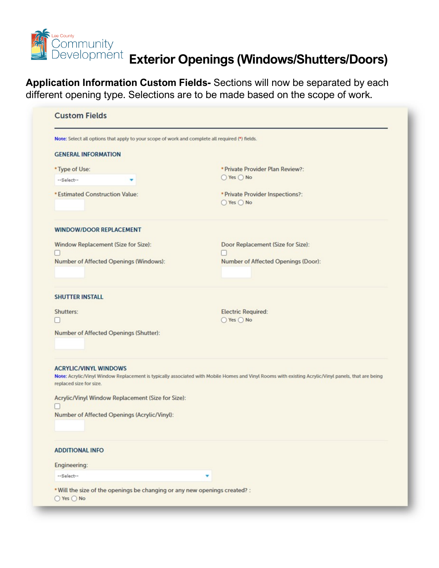

# **Exterior Openings (Windows/Shutters/Doors)**<br>Development Exterior Openings (Windows/Shutters/Doors)

**Application Information Custom Fields-** Sections will now be separated by each different opening type. Selections are to be made based on the scope of work.

| Note: Select all options that apply to your scope of work and complete all required (*) fields. |                                                                                                                                                     |  |  |
|-------------------------------------------------------------------------------------------------|-----------------------------------------------------------------------------------------------------------------------------------------------------|--|--|
| <b>GENERAL INFORMATION</b>                                                                      |                                                                                                                                                     |  |  |
| * Type of Use:                                                                                  | * Private Provider Plan Review?:                                                                                                                    |  |  |
| --Select--<br>▼                                                                                 | ◯ Yes ◯ No                                                                                                                                          |  |  |
| * Estimated Construction Value:                                                                 | * Private Provider Inspections?:<br>◯ Yes ◯ No                                                                                                      |  |  |
| <b>WINDOW/DOOR REPLACEMENT</b>                                                                  |                                                                                                                                                     |  |  |
| Window Replacement (Size for Size):                                                             | Door Replacement (Size for Size):                                                                                                                   |  |  |
|                                                                                                 |                                                                                                                                                     |  |  |
| Number of Affected Openings (Windows):                                                          | Number of Affected Openings (Door):                                                                                                                 |  |  |
| <b>SHUTTER INSTALL</b>                                                                          |                                                                                                                                                     |  |  |
| Shutters:                                                                                       | <b>Electric Required:</b>                                                                                                                           |  |  |
|                                                                                                 | ○ Yes ○ No                                                                                                                                          |  |  |
| Number of Affected Openings (Shutter):                                                          |                                                                                                                                                     |  |  |
| <b>ACRYLIC/VINYL WINDOWS</b><br>replaced size for size.                                         | Note: Acrylic/Vinyl Window Replacement is typically associated with Mobile Homes and Vinyl Rooms with existing Acrylic/Vinyl panels, that are being |  |  |
| Acrylic/Vinyl Window Replacement (Size for Size):                                               |                                                                                                                                                     |  |  |
| Number of Affected Openings (Acrylic/Vinyl):                                                    |                                                                                                                                                     |  |  |
| <b>ADDITIONAL INFO</b>                                                                          |                                                                                                                                                     |  |  |
| Engineering:                                                                                    |                                                                                                                                                     |  |  |
| --Select--                                                                                      |                                                                                                                                                     |  |  |